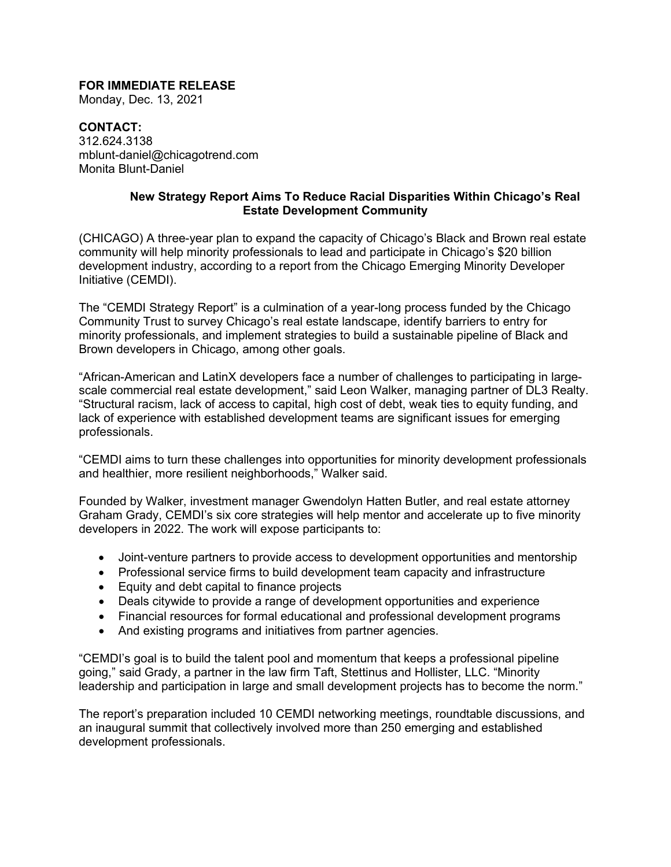## **FOR IMMEDIATE RELEASE**

Monday, Dec. 13, 2021

**CONTACT:** 312.624.3138 mblunt-daniel@chicagotrend.com Monita Blunt-Daniel

## **New Strategy Report Aims To Reduce Racial Disparities Within Chicago's Real Estate Development Community**

(CHICAGO) A three-year plan to expand the capacity of Chicago's Black and Brown real estate community will help minority professionals to lead and participate in Chicago's \$20 billion development industry, according to a report from the Chicago Emerging Minority Developer Initiative (CEMDI).

The "CEMDI Strategy Report" is a culmination of a year-long process funded by the Chicago Community Trust to survey Chicago's real estate landscape, identify barriers to entry for minority professionals, and implement strategies to build a sustainable pipeline of Black and Brown developers in Chicago, among other goals.

"African-American and LatinX developers face a number of challenges to participating in largescale commercial real estate development," said Leon Walker, managing partner of DL3 Realty. "Structural racism, lack of access to capital, high cost of debt, weak ties to equity funding, and lack of experience with established development teams are significant issues for emerging professionals.

"CEMDI aims to turn these challenges into opportunities for minority development professionals and healthier, more resilient neighborhoods," Walker said.

Founded by Walker, investment manager Gwendolyn Hatten Butler, and real estate attorney Graham Grady, CEMDI's six core strategies will help mentor and accelerate up to five minority developers in 2022. The work will expose participants to:

- Joint-venture partners to provide access to development opportunities and mentorship
- Professional service firms to build development team capacity and infrastructure
- Equity and debt capital to finance projects
- Deals citywide to provide a range of development opportunities and experience
- Financial resources for formal educational and professional development programs
- And existing programs and initiatives from partner agencies.

"CEMDI's goal is to build the talent pool and momentum that keeps a professional pipeline going," said Grady, a partner in the law firm Taft, Stettinus and Hollister, LLC. "Minority leadership and participation in large and small development projects has to become the norm."

The report's preparation included 10 CEMDI networking meetings, roundtable discussions, and an inaugural summit that collectively involved more than 250 emerging and established development professionals.